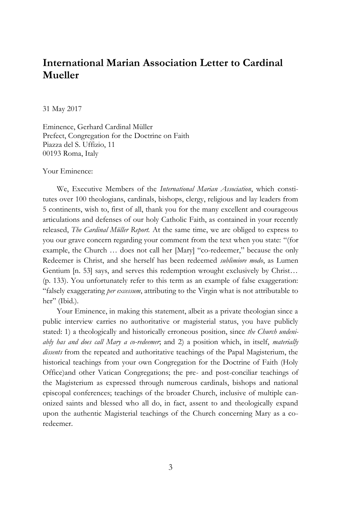# **International Marian Association Letter to Cardinal Mueller**

31 May 2017

Eminence, Gerhard Cardinal Müller Prefect, Congregation for the Doctrine on Faith Piazza del S. Uffizio, 11 00193 Roma, Italy

Your Eminence:

We, Executive Members of the *International Marian Association*, which constitutes over 100 theologians, cardinals, bishops, clergy, religious and lay leaders from 5 continents, wish to, first of all, thank you for the many excellent and courageous articulations and defenses of our holy Catholic Faith, as contained in your recently released, *The Cardinal Müller Report.* At the same time, we are obliged to express to you our grave concern regarding your comment from the text when you state: "(for example, the Church … does not call her [Mary] "co-redeemer," because the only Redeemer is Christ, and she herself has been redeemed *sublimiore modo*, as Lumen Gentium [n. 53] says, and serves this redemption wrought exclusively by Christ… (p. 133). You unfortunately refer to this term as an example of false exaggeration: "falsely exaggerating *per excessum*, attributing to the Virgin what is not attributable to her" (Ibid.).

Your Eminence, in making this statement, albeit as a private theologian since a public interview carries no authoritative or magisterial status, you have publicly stated: 1) a theologically and historically erroneous position, since *the Church undeniably has and does call Mary a co-redeemer*; and 2) a position which, in itself, *materially dissents* from the repeated and authoritative teachings of the Papal Magisterium, the historical teachings from your own Congregation for the Doctrine of Faith (Holy Office)and other Vatican Congregations; the pre- and post-conciliar teachings of the Magisterium as expressed through numerous cardinals, bishops and national episcopal conferences; teachings of the broader Church, inclusive of multiple canonized saints and blessed who all do, in fact, assent to and theologically expand upon the authentic Magisterial teachings of the Church concerning Mary as a coredeemer.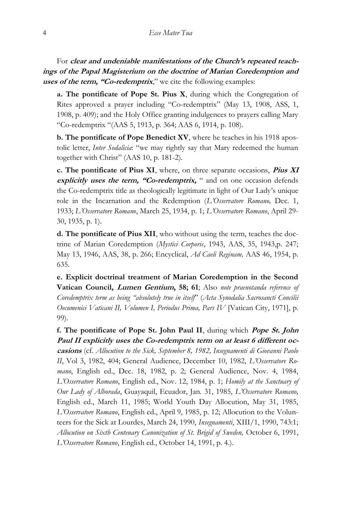For **clear and undeniable manifestations of the Church's repeated teachings of the Papal Magisterium on the doctrine of Marian Coredemption and uses of the term, "Co-redemptrix**," we cite the following examples:

**a. The pontificate of Pope St. Pius X**, during which the Congregation of Rites approved a prayer including "Co-redemptrix" (May 13, 1908, ASS, 1, 1908, p. 409); and the Holy Office granting indulgences to prayers calling Mary "Co-redemptrix "(AAS 5, 1913, p. 364; AAS 6, 1914, p. 108).

**b. The pontificate of Pope Benedict XV**, where he teaches in his 1918 apostolic letter, *Inter Sodalicia*: "we may rightly say that Mary redeemed the human together with Christ" (AAS 10, p. 181-2).

**c. The pontificate of Pius XI**, where, on three separate occasions, **Pius XI explicitly uses the term, "Co-redemptrix,** " and on one occasion defends the Co-redemptrix title as theologically legitimate in light of Our Lady's unique role in the Incarnation and the Redemption (*L'Osservatore Romano,* Dec. 1, 1933; *L'Osservatore Romano*, March 25, 1934, p. 1; *L'Osservatore Romano*, April 29- 30, 1935, p. 1).

**d. The pontificate of Pius XII**, who without using the term, teaches the doctrine of Marian Coredemption (*Mystici Corporis*, 1943, AAS, 35, 1943,p. 247; May 13, 1946, AAS, 38, p. 266; Encyclical, *Ad Caeli Reginam,* AAS 46, 1954, p. 635.

**e. Explicit doctrinal treatment of Marian Coredemption in the Second Vatican Council, Lumen Gentium, 58; 61**; Also *note praenotanda reference of Coredemptrix term as being "absolutely true in itself*" (*Acta Synodalia Sacrosancti Concilii Oecumenici Vaticani II, Volumen I, Periodus Prima, Pars IV* [Vatican City, 1971], p. 99).

**f. The pontificate of Pope St. John Paul II**, during which **Pope St. John Paul II explicitly uses the Co-redemptrix term on at least 6 different occasions** (cf. *Allocution to the Sick, September 8, 1982, Insegnamenti di Giovanni Paolo II*, Vol 3, 1982, 404; General Audience, December 10, 1982, *L'Osservatore Romano*, English ed., Dec. 18, 1982, p. 2; General Audience, Nov. 4, 1984, *L'Osservatore Romano*, English ed., Nov. 12, 1984, p. 1; *Homily at the Sanctuary of Our Lady of Alborada*, Guayaquil, Ecuador, Jan. 31, 1985, *L'Osservatore Romano,*  English ed., March 11, 1985; World Youth Day Allocution, May 31, 1985, *L'Osservatore Romano*, English ed., April 9, 1985, p. 12; Allocution to the Volunteers for the Sick at Lourdes, March 24, 1990, *Insegnamenti*, XIII/1, 1990, 743:1; *Allocution on Sixth Centenary Canonization of St. Brigid of Sweden,* October 6, 1991, *L'Osservatore Romano*, English ed., October 14, 1991, p. 4.).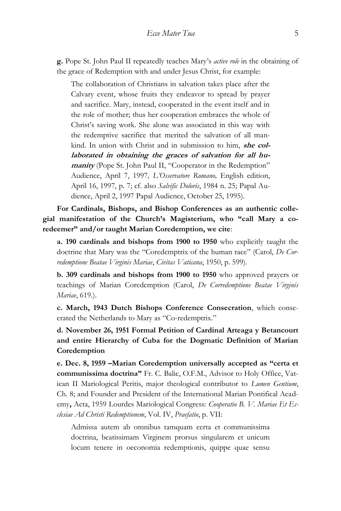**g.** Pope St. John Paul II repeatedly teaches Mary's *active role* in the obtaining of the grace of Redemption with and under Jesus Christ, for example:

The collaboration of Christians in salvation takes place after the Calvary event, whose fruits they endeavor to spread by prayer and sacrifice. Mary, instead, cooperated in the event itself and in the role of mother; thus her cooperation embraces the whole of Christ's saving work. She alone was associated in this way with the redemptive sacrifice that merited the salvation of all mankind. In union with Christ and in submission to him, **she collaborated in obtaining the graces of salvation for all humanity** (Pope St. John Paul II, "Cooperator in the Redemption" Audience, April 7, 1997*, L'Osservatore Romano,* English edition, April 16, 1997, p. 7; cf. also *Salvific Doloris*, 1984 n. 25; Papal Audience, April 2, 1997 Papal Audience, October 25, 1995).

**For Cardinals, Bishops, and Bishop Conferences as an authentic collegial manifestation of the Church's Magisterium, who "call Mary a coredeemer" and/or taught Marian Coredemption, we cite**:

**a. 190 cardinals and bishops from 1900 to 1950** who explicitly taught the doctrine that Mary was the "Coredemptrix of the human race" (Carol, *De Corredemptione Beatae Virginis Mariae*, *Civitas Vaticana*, 1950, p. 599).

**b. 309 cardinals and bishops from 1900 to 1950** who approved prayers or teachings of Marian Coredemption (Carol, *De Corredemptione Beatae Virginis Mariae*, 619.).

**c. March, 1943 Dutch Bishops Conference Consecration**, which consecrated the Netherlands to Mary as "Co-redemptrix."

**d. November 26, 1951 Formal Petition of Cardinal Arteaga y Betancourt and entire Hierarchy of Cuba for the Dogmatic Definition of Marian Coredemption**

**e. Dec. 8, 1959 –Marian Coredemption universally accepted as "certa et communissima doctrina"** Fr. C. Balic, O.F.M., Advisor to Holy Office, Vatican II Mariological Peritis, major theological contributor to *Lumen Gentium*, Ch. 8; and Founder and President of the International Marian Pontifical Academy**,** Acta, 1959 Lourdes Mariological Congress: *Cooperatio B. V. Mariae Et Ecclesiae Ad Christi Redemptionem*, Vol. IV, *Praefatio*, p. VII:

Admissa autem ab omnibus tamquam certa et communissima doctrina, beatissimam Virginem prorsus singularem et unicum locum tenere in oeconomia redemptionis, quippe quae sensu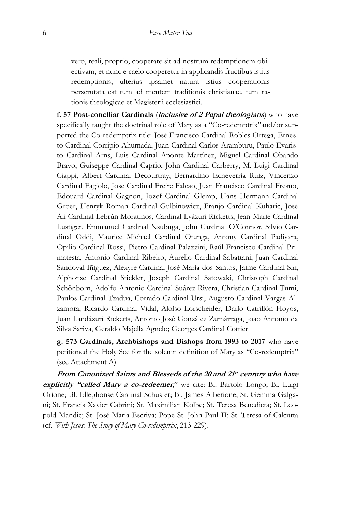vero, reali, proprio, cooperate sit ad nostrum redemptionem obiectivam, et nunc e caelo cooperetur in applicandis fructibus istius redemptionis, ulterius ipsamet natura istius cooperationis perscrutata est tum ad mentem traditionis christianae, tum rationis theologicae et Magisterii ecclesiastici.

**f. 57 Post-conciliar Cardinals** (**inclusive of 2 Papal theologians**) who have specifically taught the doctrinal role of Mary as a "Co-redemptrix"and/or supported the Co-redemptrix title: José Francisco Cardinal Robles Ortega, Ernesto Cardinal Corripio Ahumada, Juan Cardinal Carlos Aramburu, Paulo Evaristo Cardinal Arns, Luis Cardinal Aponte Martínez, Miguel Cardinal Obando Bravo, Guiseppe Cardinal Caprio, John Cardinal Carberry, M. Luigi Cardinal Ciappi, Albert Cardinal Decourtray, Bernardino Echeverría Ruiz, Vincenzo Cardinal Fagiolo, Jose Cardinal Freire Falcao, Juan Francisco Cardinal Fresno, Edouard Cardinal Gagnon, Jozef Cardinal Glemp, Hans Hermann Cardinal Groër, Henryk Roman Cardinal Gulbinowicz, Franjo Cardinal Kuharic, José Alí Cardinal Lebrún Moratinos, Cardinal Lyázuri Ricketts, Jean-Marie Cardinal Lustiger, Emmanuel Cardinal Nsubuga, John Cardinal O'Connor, Silvio Cardinal Oddi, Maurice Michael Cardinal Otunga, Antony Cardinal Padiyara, Opilio Cardinal Rossi, Pietro Cardinal Palazzini, Raúl Francisco Cardinal Primatesta, Antonio Cardinal Ribeiro, Aurelio Cardinal Sabattani, Juan Cardinal Sandoval Iñiguez, Alexyre Cardinal José María dos Santos, Jaime Cardinal Sin, Alphonse Cardinal Stickler, Joseph Cardinal Satowaki, Christoph Cardinal Schönborn, Adolfo Antonio Cardinal Suárez Rivera, Christian Cardinal Tumi, Paulos Cardinal Tzadua, Corrado Cardinal Ursi, Augusto Cardinal Vargas Alzamora, Ricardo Cardinal Vidal, Aloíso Lorscheider, Darío Catrillón Hoyos, Juan Landázuri Ricketts, Antonio José González Zumárraga, Joao Antonio da Silva Sariva, Geraldo Majella Agnelo; Georges Cardinal Cottier

**g. 573 Cardinals, Archbishops and Bishops from 1993 to 2017** who have petitioned the Holy See for the solemn definition of Mary as "Co-redemptrix" (see Attachment A)

**From Canonized Saints and Blesseds of the 20 and 21 st century who have explicitly "called Mary a co-redeemer**," we cite: Bl. Bartolo Longo; Bl. Luigi Orione; Bl. Idlephonse Cardinal Schuster; Bl. James Alberione; St. Gemma Galgani; St. Francis Xavier Cabrini; St. Maximilian Kolbe; St. Teresa Benedicta; St. Leopold Mandic; St. José Maria Escriva; Pope St. John Paul II; St. Teresa of Calcutta (cf. *With Jesus: The Story of Mary Co-redemptrix*, 213-229).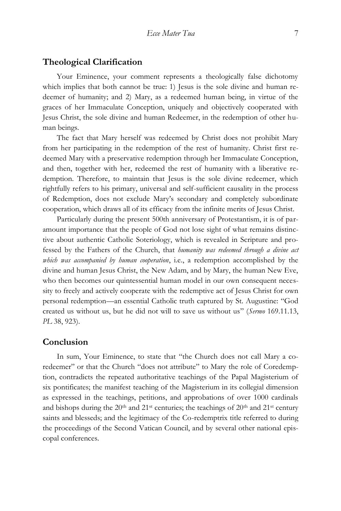### **Theological Clarification**

Your Eminence, your comment represents a theologically false dichotomy which implies that both cannot be true: 1) Jesus is the sole divine and human redeemer of humanity; and 2) Mary, as a redeemed human being, in virtue of the graces of her Immaculate Conception, uniquely and objectively cooperated with Jesus Christ, the sole divine and human Redeemer, in the redemption of other human beings.

The fact that Mary herself was redeemed by Christ does not prohibit Mary from her participating in the redemption of the rest of humanity. Christ first redeemed Mary with a preservative redemption through her Immaculate Conception, and then, together with her, redeemed the rest of humanity with a liberative redemption. Therefore, to maintain that Jesus is the sole divine redeemer, which rightfully refers to his primary, universal and self-sufficient causality in the process of Redemption, does not exclude Mary's secondary and completely subordinate cooperation, which draws all of its efficacy from the infinite merits of Jesus Christ.

Particularly during the present 500th anniversary of Protestantism, it is of paramount importance that the people of God not lose sight of what remains distinctive about authentic Catholic Soteriology, which is revealed in Scripture and professed by the Fathers of the Church, that *humanity was redeemed through a divine act which was accompanied by human cooperation*, i.e., a redemption accomplished by the divine and human Jesus Christ, the New Adam, and by Mary, the human New Eve, who then becomes our quintessential human model in our own consequent necessity to freely and actively cooperate with the redemptive act of Jesus Christ for own personal redemption—an essential Catholic truth captured by St. Augustine: "God created us without us, but he did not will to save us without us" (*Sermo* 169.11.13, *PL* 38, 923).

### **Conclusion**

In sum, Your Eminence, to state that "the Church does not call Mary a coredeemer" or that the Church "does not attribute" to Mary the role of Coredemption, contradicts the repeated authoritative teachings of the Papal Magisterium of six pontificates; the manifest teaching of the Magisterium in its collegial dimension as expressed in the teachings, petitions, and approbations of over 1000 cardinals and bishops during the  $20<sup>th</sup>$  and  $21<sup>st</sup>$  centuries; the teachings of  $20<sup>th</sup>$  and  $21<sup>st</sup>$  century saints and blesseds; and the legitimacy of the Co-redemptrix title referred to during the proceedings of the Second Vatican Council, and by several other national episcopal conferences.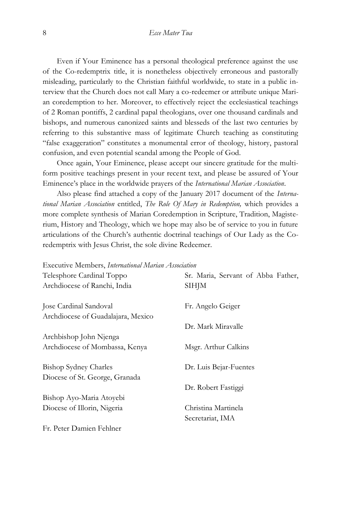Even if Your Eminence has a personal theological preference against the use of the Co-redemptrix title, it is nonetheless objectively erroneous and pastorally misleading, particularly to the Christian faithful worldwide, to state in a public interview that the Church does not call Mary a co-redeemer or attribute unique Marian coredemption to her. Moreover, to effectively reject the ecclesiastical teachings of 2 Roman pontiffs, 2 cardinal papal theologians, over one thousand cardinals and bishops, and numerous canonized saints and blesseds of the last two centuries by referring to this substantive mass of legitimate Church teaching as constituting "false exaggeration" constitutes a monumental error of theology, history, pastoral confusion, and even potential scandal among the People of God.

Once again, Your Eminence, please accept our sincere gratitude for the multiform positive teachings present in your recent text, and please be assured of Your Eminence's place in the worldwide prayers of the *International Marian Association*.

Also please find attached a copy of the January 2017 document of the *International Marian Association* entitled, *The Role Of Mary in Redemption,* which provides a more complete synthesis of Marian Coredemption in Scripture, Tradition, Magisterium, History and Theology, which we hope may also be of service to you in future articulations of the Church's authentic doctrinal teachings of Our Lady as the Coredemptrix with Jesus Christ, the sole divine Redeemer.

Executive Members, *International Marian Association*

| Telesphore Cardinal Toppo          | Sr. Maria, Servant of Abba Father, |
|------------------------------------|------------------------------------|
| Archdiocese of Ranchi, India       | <b>SIHJM</b>                       |
| Jose Cardinal Sandoval             | Fr. Angelo Geiger                  |
| Archdiocese of Guadalajara, Mexico |                                    |
|                                    | Dr. Mark Miravalle                 |
| Archbishop John Njenga             |                                    |
| Archdiocese of Mombassa, Kenya     | Msgr. Arthur Calkins               |
| Bishop Sydney Charles              | Dr. Luis Bejar-Fuentes             |
| Diocese of St. George, Granada     |                                    |
|                                    | Dr. Robert Fastiggi                |
| Bishop Ayo-Maria Atoyebi           |                                    |
| Diocese of Illorin, Nigeria        | Christina Martinela                |
|                                    | Secretariat, IMA                   |
| Fr. Peter Damien Fehlner           |                                    |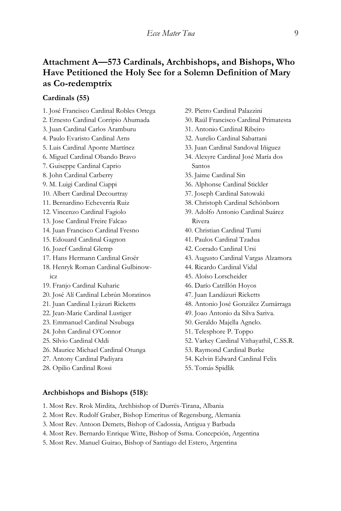## **Attachment A—573 Cardinals, Archbishops, and Bishops, Who Have Petitioned the Holy See for a Solemn Definition of Mary as Co-redemptrix**

### **Cardinals (55)**

- 1. José Francisco Cardinal Robles Ortega
- 2. Ernesto Cardinal Corripio Ahumada
- 3. Juan Cardinal Carlos Aramburu
- 4. Paulo Evaristo Cardinal Arns
- 5. Luis Cardinal Aponte Martínez
- 6. Miguel Cardinal Obando Bravo
- 7. Guiseppe Cardinal Caprio
- 8. John Cardinal Carberry
- 9. M. Luigi Cardinal Ciappi
- 10. Albert Cardinal Decourtray
- 11. Bernardino Echeverría Ruiz
- 12. Vincenzo Cardinal Fagiolo
- 13. Jose Cardinal Freire Falcao
- 14. Juan Francisco Cardinal Fresno
- 15. Edouard Cardinal Gagnon
- 16. Jozef Cardinal Glemp
- 17. Hans Hermann Cardinal Groër
- 18. Henryk Roman Cardinal Gulbinowicz
- 19. Franjo Cardinal Kuharic
- 20. José Alí Cardinal Lebrún Moratinos
- 21. Juan Cardinal Lyázuri Ricketts
- 22. Jean-Marie Cardinal Lustiger
- 23. Emmanuel Cardinal Nsubuga
- 24. John Cardinal O'Connor
- 25. Silvio Cardinal Oddi
- 26. Maurice Michael Cardinal Otunga
- 27. Antony Cardinal Padiyara
- 28. Opilio Cardinal Rossi
- 29. Pietro Cardinal Palazzini
- 30. Raúl Francisco Cardinal Primatesta
- 31. Antonio Cardinal Ribeiro
- 32. Aurelio Cardinal Sabattani
- 33. Juan Cardinal Sandoval Iñiguez
- 34. Alexyre Cardinal José María dos Santos
- 35. Jaime Cardinal Sin
- 36. Alphonse Cardinal Stickler
- 37. Joseph Cardinal Satowaki
- 38. Christoph Cardinal Schönborn
- 39. Adolfo Antonio Cardinal Suárez Rivera
- 40. Christian Cardinal Tumi
- 41. Paulos Cardinal Tzadua
- 42. Corrado Cardinal Ursi
- 43. Augusto Cardinal Vargas Alzamora
- 44. Ricardo Cardinal Vidal
- 45. Aloíso Lorscheider
- 46. Darío Catrillón Hoyos
- 47. Juan Landázuri Ricketts
- 48. Antonio José González Zumárraga
- 49. Joao Antonio da Silva Sariva.
- 50. Geraldo Majella Agnelo.
- 51. Telesphore P. Toppo
- 52. Varkey Cardinal Vithayathil, C.SS.R.
- 53. Raymond Cardinal Burke
- 54. Kelvin Edward Cardinal Felix
- 55. Tomás Spidlik

#### **Archbishops and Bishops (518):**

- 1. Most Rev. Rrok Mirdita, Archbishop of Durrës-Tirana, Albania
- 2. Most Rev. Rudolf Graber, Bishop Emeritus of Regensburg, Alemania
- 3. Most Rev. Antoon Demets, Bishop of Cadossia, Antigua y Barbuda
- 4. Most Rev. Bernardo Enrique Witte, Bishop of Ssma. Concepción, Argentina
- 5. Most Rev. Manuel Guirao, Bishop of Santiago del Estero, Argentina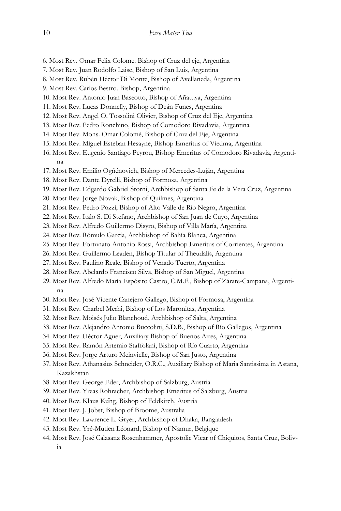- 6. Most Rev. Omar Felix Colome. Bishop of Cruz del eje, Argentina
- 7. Most Rev. Juan Rodolfo Laise, Bishop of San Luis, Argentina
- 8. Most Rev. Rubén Héctor Di Monte, Bishop of Avellaneda, Argentina
- 9. Most Rev. Carlos Bestro. Bishop, Argentina
- 10. Most Rev. Antonio Juan Baseotto, Bishop of Añatuya, Argentina
- 11. Most Rev. Lucas Donnelly, Bishop of Deán Funes, Argentina
- 12. Most Rev. Angel O. Tossolini Olivier, Bishop of Cruz del Eje, Argentina
- 13. Most Rev. Pedro Ronchino, Bishop of Comodoro Rivadavia, Argentina
- 14. Most Rev. Mons. Omar Colomé, Bishop of Cruz del Eje, Argentina
- 15. Most Rev. Miguel Esteban Hesayne, Bishop Emeritus of Viedma, Argentina
- 16. Most Rev. Eugenio Santiago Peyrou, Bishop Emeritus of Comodoro Rivadavia, Argentina
- 17. Most Rev. Emilio Ogñénovich, Bishop of Mercedes-Luján, Argentina
- 18. Most Rev. Dante Dyrelli, Bishop of Formosa, Argentina
- 19. Most Rev. Edgardo Gabriel Storni, Archbishop of Santa Fe de la Vera Cruz, Argentina
- 20. Most Rev. Jorge Novak, Bishop of Quilmes, Argentina
- 21. Most Rev. Pedro Pozzi, Bishop of Alto Valle de Río Negro, Argentina
- 22. Most Rev. Italo S. Di Stefano, Archbishop of San Juan de Cuyo, Argentina
- 23. Most Rev. Alfredo Guillermo Disyro, Bishop of Villa María, Argentina
- 24. Most Rev. Rómulo García, Archbishop of Bahía Blanca, Argentina
- 25. Most Rev. Fortunato Antonio Rossi, Archbishop Emeritus of Corrientes, Argentina
- 26. Most Rev. Guillermo Leaden, Bishop Titular of Theudalis, Argentina
- 27. Most Rev. Paulino Reale, Bishop of Venado Tuerto, Argentina
- 28. Most Rev. Abelardo Francisco Silva, Bishop of San Miguel, Argentina
- 29. Most Rev. Alfredo María Espósito Castro, C.M.F., Bishop of Zárate-Campana, Argentina
- 30. Most Rev. José Vicente Canejero Gallego, Bishop of Formosa, Argentina
- 31. Most Rev. Charbel Merhi, Bishop of Los Maronitas, Argentina
- 32. Most Rev. Moisés Julio Blanchoud, Archbishop of Salta, Argentina
- 33. Most Rev. Alejandro Antonio Buccolini, S.D.B., Bishop of Río Gallegos, Argentina
- 34. Most Rev. Héctor Aguer, Auxiliary Bishop of Buenos Aires, Argentina
- 35. Most Rev. Ramón Artemio Staffolani, Bishop of Río Cuarto, Argentina
- 36. Most Rev. Jorge Arturo Meinvielle, Bishop of San Justo, Argentina
- 37. Most Rev. Athanasius Schneider, O.R.C., Auxiliary Bishop of Maria Santissima in Astana, Kazakhstan
- 38. Most Rev. George Eder, Archbishop of Salzburg, Austria
- 39. Most Rev. Yreas Rohracher, Archbishop Emeritus of Salzburg, Austria
- 40. Most Rev. Klaus Küng, Bishop of Feldkirch, Austria
- 41. Most Rev. J. Jobst, Bishop of Broome, Australia
- 42. Most Rev. Lawrence L. Gryer, Archbishop of Dhaka, Bangladesh
- 43. Most Rev. Yré-Mutien Léonard, Bishop of Namur, Belgique
- 44. Most Rev. José Calasanz Rosenhammer, Apostolic Vicar of Chiquitos, Santa Cruz, Bolivia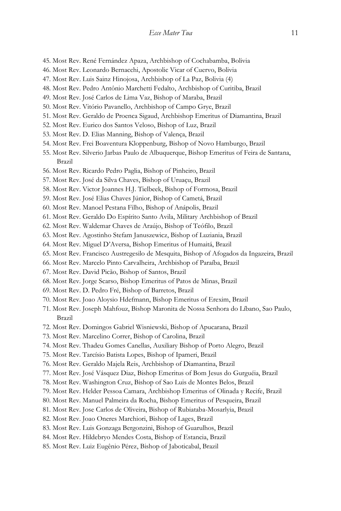- 45. Most Rev. René Fernández Apaza, Archbishop of Cochabamba, Bolivia
- 46. Most Rev. Leonardo Bernacchi, Apostolic Vicar of Cuervo, Bolivia
- 47. Most Rev. Luis Sainz Hinojosa, Archbishop of La Paz, Bolivia (4)
- 48. Most Rev. Pedro Antônio Marchetti Fedalto, Archbishop of Curitiba, Brazil
- 49. Most Rev. José Carlos de Lima Vaz, Bishop of Maraba, Brazil
- 50. Most Rev. Vitório Pavanello, Archbishop of Campo Grye, Brazil
- 51. Most Rev. Geraldo de Proenca Sigaud, Archbishop Emeritus of Diamantina, Brazil
- 52. Most Rev. Eurico dos Santos Veloso, Bishop of Luz, Brazil
- 53. Most Rev. D. Elias Manning, Bishop of Valença, Brazil
- 54. Most Rev. Frei Boaventura Kloppenburg, Bishop of Novo Hamburgo, Brazil
- 55. Most Rev. Silverio Jarbas Paulo de Albuquerque, Bishop Emeritus of Feira de Santana, Brazil
- 56. Most Rev. Ricardo Pedro Paglia, Bishop of Pinheiro, Brazil
- 57. Most Rev. José da Silva Chaves, Bishop of Uruaçu, Brazil
- 58. Most Rev. Victor Joannes H.J. Tielbeek, Bishop of Formosa, Brazil
- 59. Most Rev. José Elias Chaves Júnior, Bishop of Cametá, Brazil
- 60. Most Rev. Manoel Pestana Filho, Bishop of Anápolis, Brazil
- 61. Most Rev. Geraldo Do Espírito Santo Avila, Military Archbishop of Brazil
- 62. Most Rev. Waldemar Chaves de Araújo, Bishop of Teófilo, Brazil
- 63. Most Rev. Agostinho Stefam Januszewicz, Bishop of Luziania, Brazil
- 64. Most Rev. Miguel D'Aversa, Bishop Emeritus of Humaitá, Brazil
- 65. Most Rev. Francisco Austregesilo de Mesquita, Bishop of Afogados da Ingazeira, Brazil
- 66. Most Rev. Marcelo Pinto Carvalheira, Archbishop of Paraíba, Brazil
- 67. Most Rev. David Picão, Bishop of Santos, Brazil
- 68. Most Rev. Jorge Scarso, Bishop Emeritus of Patos de Minas, Brazil
- 69. Most Rev. D. Pedro Fré, Bishop of Barretos, Brazil
- 70. Most Rev. Joao Aloysio Hdefmann, Bishop Emeritus of Erexim, Brazil
- 71. Most Rev. Joseph Mahfouz, Bishop Maronita de Nossa Senhora do Líbano, Sao Paulo, Brazil
- 72. Most Rev. Domingos Gabriel Wisniewski, Bishop of Apucarana, Brazil
- 73. Most Rev. Marcelino Correr, Bishop of Carolina, Brazil
- 74. Most Rev. Thadeu Gomes Canellas, Auxiliary Bishop of Porto Alegro, Brazil
- 75. Most Rev. Tarcísio Batista Lopes, Bishop of Ipameri, Brazil
- 76. Most Rev. Geraldo Majela Reis, Archbishop of Diamantina, Brazil
- 77. Most Rev. José Vásquez Diaz, Bishop Emeritus of Bom Jesus do Gurguéia, Brazil
- 78. Most Rev. Washington Cruz, Bishop of Sao Luis de Montes Belos, Brazil
- 79. Most Rev. Helder Pessoa Camara, Archbishop Emeritus of Olinada y Recife, Brazil
- 80. Most Rev. Manuel Palmeira da Rocha, Bishop Emeritus of Pesqueira, Brazil
- 81. Most Rev. Jose Carlos de Oliveira, Bishop of Rubiataba-Mosarlyia, Brazil
- 82. Most Rev. Joao Oneres Marchiori, Bishop of Lages, Brazil
- 83. Most Rev. Luis Gonzaga Bergonzini, Bishop of Guarulhos, Brazil
- 84. Most Rev. Hildebryo Mendes Costa, Bishop of Estancia, Brazil
- 85. Most Rev. Luiz Eugênio Pérez, Bishop of Jaboticabal, Brazil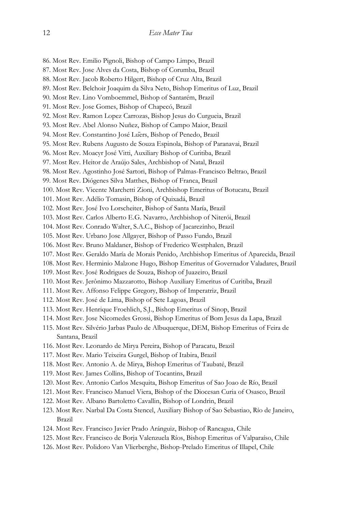86. Most Rev. Emilio Pignoli, Bishop of Campo Limpo, Brazil 87. Most Rev. Jose Alves da Costa, Bishop of Corumba, Brazil 88. Most Rev. Jacob Roberto Hilgert, Bishop of Cruz Alta, Brazil 89. Most Rev. Belchoir Joaquim da Silva Neto, Bishop Emeritus of Luz, Brazil 90. Most Rev. Lino Vomboemmel, Bishop of Santarém, Brazil 91. Most Rev. Jose Gomes, Bishop of Chapecó, Brazil 92. Most Rev. Ramon Lopez Carrozas, Bishop Jesus do Curgueia, Brazil 93. Most Rev. Abel Alonso Nuñez, Bishop of Campo Maior, Brazil 94. Most Rev. Constantino José Lüers, Bishop of Penedo, Brazil 95. Most Rev. Rubens Augusto de Souza Espinola, Bishop of Paranavai, Brazil 96. Most Rev. Moacyr José Vitti, Auxiliary Bishop of Curitiba, Brazil 97. Most Rev. Heitor de Araújo Sales, Archbishop of Natal, Brazil 98. Most Rev. Agostinho José Sartori, Bishop of Palmas-Francisco Beltrao, Brazil 99. Most Rev. Diógenes Silva Matthes, Bishop of Franca, Brazil 100. Most Rev. Vicente Marchetti Zioni, Archbishop Emeritus of Botucatu, Brazil 101. Most Rev. Adélio Tomasin, Bishop of Quixadá, Brazil 102. Most Rev. José Ivo Lorscheiter, Bishop of Santa María, Brazil 103. Most Rev. Carlos Alberto E.G. Navarro, Archbishop of Niterói, Brazil 104. Most Rev. Conrado Walter, S.A.C., Bishop of Jacarezinho, Brazil 105. Most Rev. Urbano Jose Allgayer, Bishop of Passo Fundo, Brazil 106. Most Rev. Bruno Maldaner, Bishop of Frederico Westphalen, Brazil 107. Most Rev. Geraldo María de Morais Penido, Archbishop Emeritus of Aparecida, Brazil 108. Most Rev. Herminio Malzone Hugo, Bishop Emeritus of Governador Valadares, Brazil 109. Most Rev. José Rodrigues de Souza, Bishop of Juazeiro, Brazil 110. Most Rev. Jerônimo Mazzarotto, Bishop Auxiliary Emeritus of Curitiba, Brazil 111. Most Rev. Affonso Felippe Gregory, Bishop of Imperatriz, Brazil 112. Most Rev. José de Lima, Bishop of Sete Lagoas, Brazil 113. Most Rev. Henrique Froehlich, S.J., Bishop Emeritus of Sinop, Brazil 114. Most Rev. Jose Nicomedes Grossi, Bishop Emeritus of Bom Jesus da Lapa, Brazil 115. Most Rev. Silvério Jarbas Paulo de Albuquerque, DEM, Bishop Emeritus of Feira de Santana, Brazil 116. Most Rev. Leonardo de Mirya Pereira, Bishop of Paracatu, Brazil 117. Most Rev. Mario Teixeira Gurgel, Bishop of Itabira, Brazil 118. Most Rev. Antonio A. de Mirya, Bishop Emeritus of Taubaté, Brazil 119. Most Rev. James Collins, Bishop of Tocantins, Brazil 120. Most Rev. Antonio Carlos Mesquita, Bishop Emeritus of Sao Joao de Río, Brazil 121. Most Rev. Francisco Manuel Viera, Bishop of the Diocesan Curia of Osasco, Brazil 122. Most Rev. Albano Bartoletto Cavallin, Bishop of Londrin, Brazil 123. Most Rev. Narbal Da Costa Stencel, Auxiliary Bishop of Sao Sebastiao, Río de Janeiro, Brazil

- 124. Most Rev. Francisco Javier Prado Aránguiz, Bishop of Rancagua, Chile
- 125. Most Rev. Francisco de Borja Valenzuela Ríos, Bishop Emeritus of Valparaíso, Chile
- 126. Most Rev. Polidoro Van Vlierberghe, Bishop-Prelado Emeritus of Illapel, Chile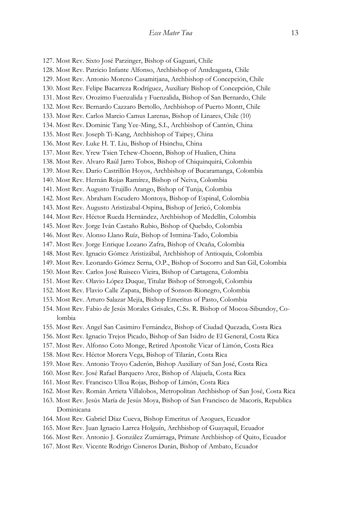127. Most Rev. Sixto José Parzinger, Bishop of Gaguari, Chile 128. Most Rev. Patricio Infante Alfonso, Archbishop of Antdeagasta, Chile 129. Most Rev. Antonio Moreno Casamitjana, Archbishop of Concepción, Chile 130. Most Rev. Felipe Bacarreza Rodríguez, Auxiliary Bishop of Concepción, Chile 131. Most Rev. Orozimo Fuenzalida y Fuenzalida, Bishop of San Bernardo, Chile 132. Most Rev. Bernardo Cazzaro Bertollo, Archbishop of Puerto Montt, Chile 133. Most Rev. Carlos Marcio Camus Larenas, Bishop of Linares, Chile (10) 134. Most Rev. Dominic Tang Yee-Ming, S.I., Archbishop of Cantón, China 135. Most Rev. Joseph Ti-Kang, Archbishop of Taipey, China 136. Most Rev. Luke H. T. Liu, Bishop of Hsinchu, China 137. Most Rev. Yrew Tsien Tchew-Choenn, Bishop of Hualien, China 138. Most Rev. Alvaro Raúl Jarro Tobos, Bishop of Chiquinquirá, Colombia 139. Most Rev. Darío Castrillón Hoyos, Archbishop of Bucaramanga, Colombia 140. Most Rev. Hernán Rojas Ramírez, Bishop of Neiva, Colombia 141. Most Rev. Augusto Trujillo Arango, Bishop of Tunja, Colombia 142. Most Rev. Abraham Escudero Montoya, Bishop of Espinal, Colombia 143. Most Rev. Augusto Aristizabal-Ospina, Bishop of Jericó, Colombia 144. Most Rev. Héctor Rueda Hernández, Archbishop of Medellín, Colombia 145. Most Rev. Jorge Iván Castaño Rubio, Bishop of Quebdo, Colombia 146. Most Rev. Alonso Llano Ruíz, Bishop of Istmina-Tado, Colombia 147. Most Rev. Jorge Enrique Lozano Zafra, Bishop of Ocaña, Colombia 148. Most Rev. Ignacio Gómez Aristizábal, Archbishop of Antioquía, Colombia 149. Most Rev. Leonardo Gómez Serna, O.P., Bishop of Socorro and San Gil, Colombia 150. Most Rev. Carlos José Ruiseco Vieira, Bishop of Cartagena, Colombia 151. Most Rev. Olavio López Duque, Titular Bishop of Strongoli, Colombia 152. Most Rev. Flavio Calle Zapata, Bishop of Sonson-Ríonegro, Colombia 153. Most Rev. Arturo Salazar Mejía, Bishop Emeritus of Pasto, Colombia 154. Most Rev. Fabio de Jesús Morales Grisales, C.Ss. R. Bishop of Mocoa-Sibundoy, Colombia 155. Most Rev. Angel San Casimiro Fernández, Bishop of Ciudad Quezada, Costa Rica 156. Most Rev. Ignacio Trejos Picado, Bishop of San Isidro de El General, Costa Rica 157. Most Rev. Alfonso Coto Monge, Retired Apostolic Vicar of Limón, Costa Rica 158. Most Rev. Héctor Morera Vega, Bishop of Tilarán, Costa Rica 159. Most Rev. Antonio Troyo Caderón, Bishop Auxiliary of San José, Costa Rica 160. Most Rev. José Rafael Barquero Arce, Bishop of Alajuela, Costa Rica 161. Most Rev. Francisco Ulloa Rojas, Bishop of Limón, Costa Rica 162. Most Rev. Román Arrieta Villalobos, Metropolitan Archbishop of San José, Costa Rica 163. Most Rev. Jesús María de Jesús Moya, Bishop of San Francisco de Macorís, Republica Dominicana 164. Most Rev. Gabriel Díaz Cueva, Bishop Emeritus of Azogues, Ecuador

- 165. Most Rev. Juan Ignacio Larrea Holguín, Archbishop of Guayaquil, Ecuador
- 166. Most Rev. Antonio J. González Zumárraga, Primate Archbishop of Quito, Ecuador
- 167. Most Rev. Vicente Rodrigo Cisneros Durán, Bishop of Ambato, Ecuador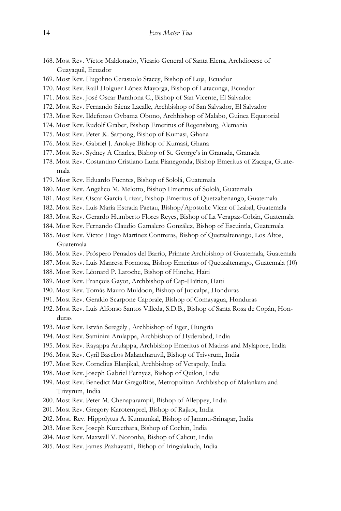- 168. Most Rev. Víctor Maldonado, Vicario General of Santa Elena, Archdiocese of Guayaquil, Ecuador
- 169. Most Rev. Hugolino Cerasuolo Stacey, Bishop of Loja, Ecuador
- 170. Most Rev. Raúl Holguer López Mayorga, Bishop of Latacunga, Ecuador
- 171. Most Rev. José Oscar Barahona C., Bishop of San Vicente, El Salvador
- 172. Most Rev. Fernando Sáenz Lacalle, Archbishop of San Salvador, El Salvador
- 173. Most Rev. Ildefonso Ovbama Obono, Archbishop of Malabo, Guinea Equatorial
- 174. Most Rev. Rudolf Graber, Bishop Emeritus of Regensburg, Alemania
- 175. Most Rev. Peter K. Sarpong, Bishop of Kumasi, Ghana
- 176. Most Rev. Gabriel J. Anokye Bishop of Kumasi, Ghana
- 177. Most Rev. Sydney A Charles, Bishop of St. George's in Granada, Granada
- 178. Most Rev. Costantino Cristiano Luna Pianegonda, Bishop Emeritus of Zacapa, Guatemala
- 179. Most Rev. Eduardo Fuentes, Bishop of Sololá, Guatemala
- 180. Most Rev. Angélico M. Melotto, Bishop Emeritus of Sololá, Guatemala
- 181. Most Rev. Oscar García Urizar, Bishop Emeritus of Quetzaltenango, Guatemala
- 182. Most Rev. Luis María Estrada Paetau, Bishop/Apostolic Vicar of Izabal, Guatemala
- 183. Most Rev. Gerardo Humberto Flores Reyes, Bishop of La Verapaz-Cobán, Guatemala
- 184. Most Rev. Fernando Claudio Gamalero González, Bishop of Escuintla, Guatemala
- 185. Most Rev. Víctor Hugo Martínez Contreras, Bishop of Quetzaltenango, Los Altos, Guatemala
- 186. Most Rev. Próspero Penados del Barrio, Primate Archbishop of Guatemala, Guatemala
- 187. Most Rev. Luis Manresa Formosa, Bishop Emeritus of Quetzaltenango, Guatemala (10)
- 188. Most Rev. Léonard P. Laroche, Bishop of Hinche, Haïti
- 189. Most Rev. François Gayot, Archbishop of Cap-Haïtien, Haïti
- 190. Most Rev. Tomás Mauro Muldoon, Bishop of Juticalpa, Honduras
- 191. Most Rev. Geraldo Scarpone Caporale, Bishop of Comayagua, Honduras
- 192. Most Rev. Luis Alfonso Santos Villeda, S.D.B., Bishop of Santa Rosa de Copán, Honduras
- 193. Most Rev. István Seregély , Archbishop of Eger, Hungría
- 194. Most Rev. Saminini Arulappa, Archbishop of Hyderabad, India
- 195. Most Rev. Rayappa Arulappa, Archbishop Emeritus of Madras and Mylapore, India
- 196. Most Rev. Cyril Baselios Malancharuvil, Bishop of Trivyrum, India
- 197. Most Rev. Cornelius Elanjikal, Archbishop of Verapoly, India
- 198. Most Rev. Joseph Gabriel Fernyez, Bishop of Quilon, India
- 199. Most Rev. Benedict Mar GregoRíos, Metropolitan Archbishop of Malankara and Trivyrum, India
- 200. Most Rev. Peter M. Chenaparampil, Bishop of Alleppey, India
- 201. Most Rev. Gregory Karotemprel, Bishop of Rajkot, India
- 202. Most. Rev. Hippolytus A. Kunnunkal, Bishop of Jammu-Srinagar, India
- 203. Most Rev. Joseph Kureethara, Bishop of Cochin, India
- 204. Most Rev. Maxwell V. Noronha, Bishop of Calicut, India
- 205. Most Rev. James Pazhayattil, Bishop of Iringalakuda, India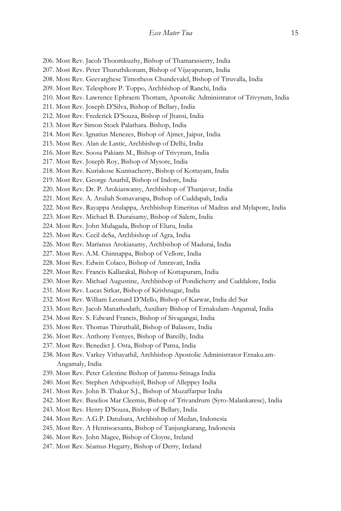- 206. Most Rev. Jacob Thoomkuzhy, Bishop of Thamarasserry, India
- 207. Most Rev. Peter Thuruthikonam, Bishop of Vijayapuram, India
- 208. Most Rev. Geevarghese Timotheos Chundevalel, Bishop of Tiruvalla, India
- 209. Most Rev. Telesphore P. Toppo, Archbishop of Ranchi, India
- 210. Most Rev. Lawrence Ephraem Thottam, Apostolic Administrator of Trivyrum, India
- 211. Most Rev. Joseph D'Silva, Bishop of Bellary, India
- 212. Most Rev. Frederick D'Souza, Bishop of Jhansi, India
- 213. Most Rev Simon Stock Palathara. Bishop, India
- 214. Most Rev. Ignatius Menezes, Bishop of Ajmer, Jaipur, India
- 215. Most Rev. Alan de Lastic, Archbishop of Delhi, India
- 216. Most Rev. Soosa Pakiam M., Bishop of Trivyrum, India
- 217. Most Rev. Joseph Roy, Bishop of Mysore, India
- 218. Most Rev. Kuriakose Kunnacherry, Bishop of Kottayam, India
- 219. Most Rev. George Anathil, Bishop of Indore, India
- 220. Most Rev. Dr. P. Arokiaswamy, Archbishop of Thanjavur, India
- 221. Most Rev. A. Aruliah Somavarapa, Bishop of Cuddapah, India
- 222. Most Rev. Rayappa Arulappa, Archbishop Emeritus of Madras and Mylapore, India
- 223. Most Rev. Michael B. Duraisamy, Bishop of Salem, India
- 224. Most Rev. John Mulagada, Bishop of Eluru, India
- 225. Most Rev. Cecil deSa, Archbishop of Agra, India
- 226. Most Rev. Maríanus Arokiasamy, Archbishop of Madurai, India
- 227. Most Rev. A.M. Chinnappa, Bishop of Vellore, India
- 228. Most Rev. Edwin Colaco, Bishop of Amravati, India
- 229. Most Rev. Francis Kallarakal, Bishop of Kottapuram, India
- 230. Most Rev. Michael Augustine, Archbishop of Pondicherry and Cuddalore, India
- 231. Most Rev. Lucas Sirkar, Bishop of Krishnagar, India
- 232. Most Rev. William Leonard D'Mello, Bishop of Karwar, India del Sur
- 233. Most Rev. Jacob Manathodath, Auxiliary Bishop of Ernakulam-Angamal, India
- 234. Most Rev. S. Edward Francis, Bishop of Sivagangai, India
- 235. Most Rev. Thomas Thiruthalil, Bishop of Balasore, India
- 236. Most Rev. Anthony Fernyes, Bishop of Bareilly, India
- 237. Most Rev. Benedict J. Osta, Bishop of Patna, India
- 238. Most Rev. Varkey Vithayathil, Archbishop Apostolic Administrator Ernaku.am-Angamaly, India
- 239. Most Rev. Peter Celestine Bishop of Jammu-Srinaga India
- 240. Most Rev. Stephen Athipozhiyil, Bishop of Alleppey India
- 241. Most Rev. John B. Thakur S.J., Bishop of Muzaffarpur India
- 242. Most Rev. Baselios Mar Cleemis, Bishop of Trivandrum (Syro-Malankarese), India
- 243. Most Rev. Henry D'Souza, Bishop of Bellary, India
- 244. Most Rev. A.G.P. Datubara, Archbishop of Medan, Indonesia
- 245. Most Rev. A Henrisoesanta, Bishop of Tanjungkarang, Indonesia
- 246. Most Rev. John Magee, Bishop of Cloyne, Ireland
- 247. Most Rev. Séamus Hegarty, Bishop of Derry, Ireland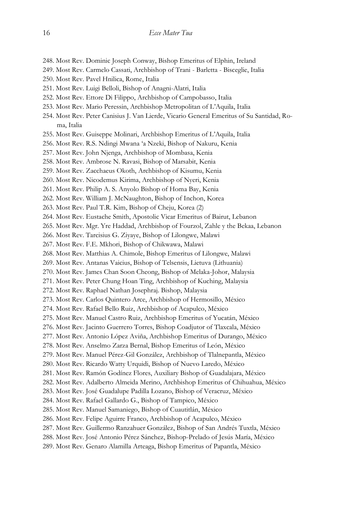- 248. Most Rev. Dominic Joseph Conway, Bishop Emeritus of Elphin, Ireland
- 249. Most Rev. Carmelo Cassati, Archbishop of Trani Barletta Bisceglie, Italia
- 250. Most Rev. Pavel Hnilica, Rome, Italia
- 251. Most Rev. Luigi Belloli, Bishop of Anagni-Alatri, Italia
- 252. Most Rev. Ettore Di Filippo, Archbishop of Campobasso, Italia
- 253. Most Rev. Mario Peressin, Archbishop Metropolitan of L'Aquila, Italia
- 254. Most Rev. Peter Canisius J. Van Lierde, Vicario General Emeritus of Su Santidad, Roma, Italia
- 255. Most Rev. Guiseppe Molinari, Archbishop Emeritus of L'Aquila, Italia
- 256. Most Rev. R.S. Ndingi Mwana 'a Nzeki, Bishop of Nakuru, Kenia
- 257. Most Rev. John Njenga, Archbishop of Mombasa, Kenia
- 258. Most Rev. Ambrose N. Ravasi, Bishop of Marsabit, Kenia
- 259. Most Rev. Zacchaeus Okoth, Archbishop of Kisumu, Kenia
- 260. Most Rev. Nicodemus Kirima, Archbishop of Nyeri, Kenia
- 261. Most Rev. Philip A. S. Anyolo Bishop of Homa Bay, Kenia
- 262. Most Rev. William J. McNaughton, Bishop of Inchon, Korea
- 263. Most Rev. Paul T.R. Kim, Bishop of Cheju, Korea (2)
- 264. Most Rev. Eustache Smith, Apostolic Vicar Emeritus of Bairut, Lebanon
- 265. Most Rev. Mgr. Yre Haddad, Archbishop of Fourzol, Zahle y the Bekaa, Lebanon
- 266. Most Rev. Tarcisius G. Ziyaye, Bishop of Lilongwe, Malawi
- 267. Most Rev. F.E. Mkhori, Bishop of Chikwawa, Malawi
- 268. Most Rev. Matthias A. Chimole, Bishop Emeritus of Lilongwe, Malawi
- 269. Most Rev. Antanas Vaicius, Bishop of Telsensis, Lietuva (Lithuania)
- 270. Most Rev. James Chan Soon Cheong, Bishop of Melaka-Johor, Malaysia
- 271. Most Rev. Peter Chung Hoan Ting, Archbishop of Kuching, Malaysia
- 272. Most Rev. Raphael Nathan Josephraj. Bishop, Malaysia
- 273. Most Rev. Carlos Quintero Arce, Archbishop of Hermosillo, México
- 274. Most Rev. Rafael Bello Ruiz, Archbishop of Acapulco, México
- 275. Most Rev. Manuel Castro Ruiz, Archbishop Emeritus of Yucatán, México
- 276. Most Rev. Jacinto Guerrero Torres, Bishop Coadjutor of Tlaxcala, México
- 277. Most Rev. Antonio López Aviña, Archbishop Emeritus of Durango, México
- 278. Most Rev. Anselmo Zarza Bernal, Bishop Emeritus of León, México
- 279. Most Rev. Manuel Pérez-Gil González, Archbishop of Tlalnepantla, México
- 280. Most Rev. Ricardo Watty Urquidi, Bishop of Nuevo Laredo, México
- 281. Most Rev. Ramón Godínez Flores, Auxiliary Bishop of Guadalajara, México
- 282. Most Rev. Adalberto Almeida Merino, Archbishop Emeritus of Chihuahua, México
- 283. Most Rev. José Guadalupe Padilla Lozano, Bishop of Veracruz, México
- 284. Most Rev. Rafael Gallardo G., Bishop of Tampico, México
- 285. Most Rev. Manuel Samaniego, Bishop of Cuautitlán, México
- 286. Most Rev. Felipe Aguirre Franco, Archbishop of Acapulco, México
- 287. Most Rev. Guillermo Ranzahuer González, Bishop of San Andrés Tuxtla, México
- 288. Most Rev. José Antonio Pérez Sánchez, Bishop-Prelado of Jesús María, México
- 289. Most Rev. Genaro Alamilla Arteaga, Bishop Emeritus of Papantla, México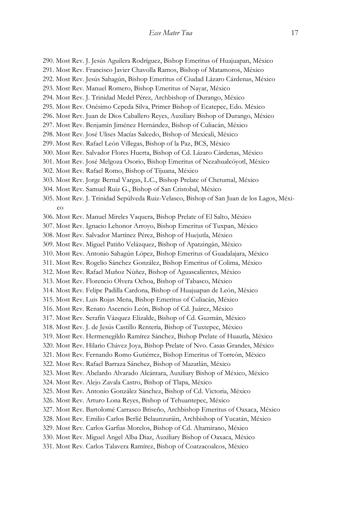- 290. Most Rev. J. Jesús Aguilera Rodríguez, Bishop Emeritus of Huajuapan, México
- 291. Most Rev. Francisco Javier Chavolla Ramos, Bishop of Matamoros, México
- 292. Most Rev. Jesús Sahagún, Bishop Emeritus of Ciudad Lázaro Cárdenas, México
- 293. Most Rev. Manuel Romero, Bishop Emeritus of Nayar, México
- 294. Most Rev. J. Trinidad Medel Pérez, Archbishop of Durango, México
- 295. Most Rev. Onésimo Cepeda Silva, Primer Bishop of Ecatepec, Edo. México
- 296. Most Rev. Juan de Dios Caballero Reyes, Auxiliary Bishop of Durango, México
- 297. Most Rev. Benjamín Jiménez Hernández, Bishop of Culiacán, México
- 298. Most Rev. José Ulises Macías Salcedo, Bishop of Mexicali, México
- 299. Most Rev. Rafael León Villegas, Bishop of la Paz, BCS, México
- 300. Most Rev. Salvador Flores Huerta, Bishop of Cd. Lázaro Cárdenas, México
- 301. Most Rev. José Melgoza Osorio, Bishop Emeritus of Nezahualcóyotl, México
- 302. Most Rev. Rafael Romo, Bishop of Tijuana, México
- 303. Most Rev. Jorge Bernal Vargas, L.C., Bishop Prelate of Chetumal, México
- 304. Most Rev. Samuel Ruiz G., Bishop of San Cristobal, México
- 305. Most Rev. J. Trinidad Sepúlveda Ruiz-Velasco, Bishop of San Juan de los Lagos, México
- 306. Most Rev. Manuel Mireles Vaquera, Bishop Prelate of El Salto, México
- 307. Most Rev. Ignacio Lehonor Arroyo, Bishop Emeritus of Tuxpan, México
- 308. Most Rev. Salvador Martínez Pérez, Bishop of Huejutla, México
- 309. Most Rev. Miguel Patiño Velázquez, Bishop of Apatzingán, México
- 310. Most Rev. Antonio Sahagún López, Bishop Emeritus of Guadalajara, México
- 311. Most Rev. Rogelio Sánchez González, Bishop Emeritus of Colima, México
- 312. Most Rev. Rafael Muñoz Núñez, Bishop of Aguascalientes, México
- 313. Most Rev. Florencio Olvera Ochoa, Bishop of Tabasco, México
- 314. Most Rev. Felipe Padilla Cardona, Bishop of Huajuapan de León, México
- 315. Most Rev. Luis Rojas Mena, Bishop Emeritus of Culiacán, México
- 316. Most Rev. Renato Ascencio León, Bishop of Cd. Juárez, México
- 317. Most Rev. Serafín Vázquez Elizalde, Bishop of Cd. Guzmán, México
- 318. Most Rev. J. de Jesús Castillo Rentería, Bishop of Tuxtepec, México
- 319. Most Rev. Hermenegildo Ramírez Sánchez, Bishop Prelate of Huautla, México
- 320. Most Rev. Hilario Chávez Joya, Bishop Prelate of Nvo. Casas Grandes, México
- 321. Most Rev. Fernando Romo Gutiérrez, Bishop Emeritus of Torreón, México
- 322. Most Rev. Rafael Barraza Sánchez, Bishop of Mazatlán, México
- 323. Most Rev. Abelardo Alvarado Alcántara, Auxiliary Bishop of México, México
- 324. Most Rev. Alejo Zavala Castro, Bishop of Tlapa, México
- 325. Most Rev. Antonio González Sánchez, Bishop of Cd. Victoria, México
- 326. Most Rev. Arturo Lona Reyes, Bishop of Tehuantepec, México
- 327. Most Rev. Bartolomé Carrasco Briseño, Archbishop Emeritus of Oaxaca, México
- 328. Most Rev. Emilio Carlos Berlié Belaunzuráin, Archbishop of Yucatán, México
- 329. Most Rev. Carlos Garfias Morelos, Bishop of Cd. Altamirano, México
- 330. Most Rev. Miguel Angel Alba Diaz, Auxiliary Bishop of Oaxaca, México
- 331. Most Rev. Carlos Talavera Ramírez, Bishop of Coatzacoalcos, México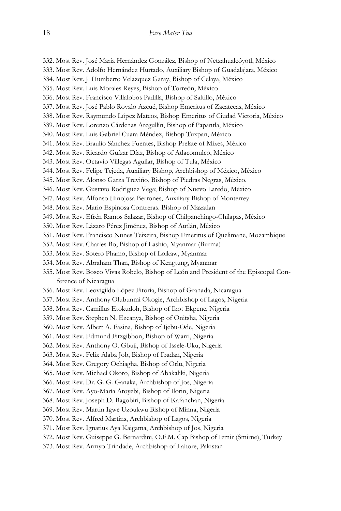332. Most Rev. José María Hernández González, Bishop of Netzahualcóyotl, México

333. Most Rev. Adolfo Hernández Hurtado, Auxiliary Bishop of Guadalajara, México

334. Most Rev. J. Humberto Velázquez Garay, Bishop of Celaya, México

335. Most Rev. Luis Morales Reyes, Bishop of Torreón, México

- 336. Most Rev. Francisco Villalobos Padilla, Bishop of Saltillo, México
- 337. Most Rev. José Pablo Rovalo Azcué, Bishop Emeritus of Zacatecas, México
- 338. Most Rev. Raymundo López Mateos, Bishop Emeritus of Ciudad Victoria, México
- 339. Most Rev. Lorenzo Cárdenas Aregullín, Bishop of Papantla, México
- 340. Most Rev. Luis Gabriel Cuara Méndez, Bishop Tuxpan, México
- 341. Most Rev. Braulio Sánchez Fuentes, Bishop Prelate of Mixes, México
- 342. Most Rev. Ricardo Guízar Díaz, Bishop of Atlacomulco, México
- 343. Most Rev. Octavio Villegas Aguilar, Bishop of Tula, México
- 344. Most Rev. Felipe Tejeda, Auxiliary Bishop, Archbishop of México, México
- 345. Most Rev. Alonso Garza Treviño, Bishop of Piedras Negras, México.
- 346. Most Rev. Gustavo Rodríguez Vega; Bishop of Nuevo Laredo, México
- 347. Most Rev. Alfonso Hinojosa Berrones, Auxiliary Bishop of Monterrey
- 348. Most Rev. Mario Espinosa Contreras. Bishop of Mazatlan
- 349. Most Rev. Efrén Ramos Salazar, Bishop of Chilpanchingo-Chilapas, México
- 350. Most Rev. Lázaro Pérez Jiménez, Bishop of Autlán, México
- 351. Most Rev. Francisco Nunes Teixeira, Bishop Emeritus of Quelimane, Mozambique
- 352. Most Rev. Charles Bo, Bishop of Lashio, Myanmar (Burma)
- 353. Most Rev. Sotero Phamo, Bishop of Loikaw, Myanmar
- 354. Most Rev. Abraham Than, Bishop of Kengtung, Myanmar
- 355. Most Rev. Bosco Vivas Robelo, Bishop of León and President of the Episcopal Conference of Nicaragua
- 356. Most Rev. Leovigildo López Fitoria, Bishop of Granada, Nicaragua
- 357. Most Rev. Anthony Olubunmi Okogie, Archbishop of Lagos, Nigeria
- 358. Most Rev. Camillus Etokudoh, Bishop of Ikot Ekpene, Nigeria
- 359. Most Rev. Stephen N. Ezeanya, Bishop of Onitsha, Nigeria
- 360. Most Rev. Albert A. Fasina, Bishop of Ijebu-Ode, Nigeria
- 361. Most Rev. Edmund Fitzgibbon, Bishop of Warri, Nigeria
- 362. Most Rev. Anthony O. Gbuji, Bishop of Issele-Uku, Nigeria
- 363. Most Rev. Felix Alaba Job, Bishop of Ibadan, Nigeria
- 364. Most Rev. Gregory Ochiagha, Bishop of Orlu, Nigeria
- 365. Most Rev. Michael Okoro, Bishop of Abakaliki, Nigeria
- 366. Most Rev. Dr. G. G. Ganaka, Archbishop of Jos, Nigeria
- 367. Most Rev. Ayo-María Atoyebi, Bishop of Ilorin, Nigeria
- 368. Most Rev. Joseph D. Bagobiri, Bishop of Kafanchan, Nigeria
- 369. Most Rev. Martin Igwe Uzoukwu Bishop of Minna, Nigeria
- 370. Most Rev. Alfred Martins, Archbishop of Lagos, Nigeria
- 371. Most Rev. Ignatius Aya Kaigama, Archbishop of Jos, Nigeria
- 372. Most Rev. Guiseppe G. Bernardini, O.F.M. Cap Bishop of Izmir (Smirne), Turkey
- 373. Most Rev. Armyo Trindade, Archbishop of Lahore, Pakistan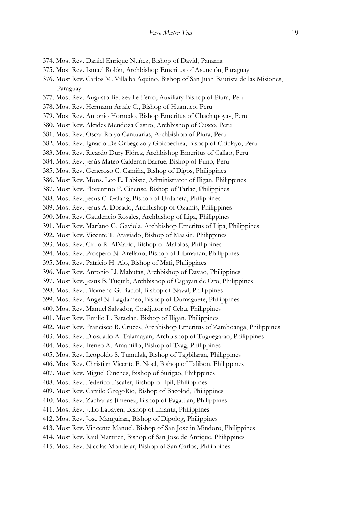- 374. Most Rev. Daniel Enrique Nuñez, Bishop of David, Panama
- 375. Most Rev. Ismael Rolón, Archbishop Emeritus of Asunción, Paraguay
- 376. Most Rev. Carlos M. Villalba Aquino, Bishop of San Juan Bautista de las Misiones, Paraguay
- 377. Most Rev. Augusto Beuzeville Ferro, Auxiliary Bishop of Piura, Peru
- 378. Most Rev. Hermann Artale C., Bishop of Huanuco, Peru
- 379. Most Rev. Antonio Hornedo, Bishop Emeritus of Chachapoyas, Peru
- 380. Most Rev. Alcides Mendoza Castro, Archbishop of Cusco, Peru
- 381. Most Rev. Oscar Rolyo Cantuarias, Archbishop of Piura, Peru
- 382. Most Rev. Ignacio De Orbegozo y Goicoechea, Bishop of Chiclayo, Peru
- 383. Most Rev. Ricardo Dury Flórez, Archbishop Emeritus of Callao, Peru
- 384. Most Rev. Jesús Mateo Calderon Barrue, Bishop of Puno, Peru
- 385. Most Rev. Generoso C. Camiña, Bishop of Digos, Philippines
- 386. Most Rev. Mons. Leo E. Labiste, Administrator of Iligan, Philippines
- 387. Most Rev. Florentino F. Cinense, Bishop of Tarlac, Philippines
- 388. Most Rev. Jesus C. Galang, Bishop of Urdaneta, Philippines
- 389. Most Rev. Jesus A. Dosado, Archbishop of Ozamis, Philippines
- 390. Most Rev. Gaudencio Rosales, Archbishop of Lipa, Philippines
- 391. Most Rev. Maríano G. Gaviola, Archbishop Emeritus of Lipa, Philippines
- 392. Most Rev. Vicente T. Ataviado, Bishop of Maasin, Philippines
- 393. Most Rev. Cirilo R. AlMario, Bishop of Malolos, Philippines
- 394. Most Rev. Prospero N. Arellano, Bishop of Libmanan, Philippines
- 395. Most Rev. Patricio H. Alo, Bishop of Mati, Philippines
- 396. Most Rev. Antonio Ll. Mabutas, Archbishop of Davao, Philippines
- 397. Most Rev. Jesus B. Tuquib, Archbishop of Cagayan de Oro, Philippines
- 398. Most Rev. Filomeno G. Bactol, Bishop of Naval, Philippines
- 399. Most Rev. Angel N. Lagdameo, Bishop of Dumaguete, Philippines
- 400. Most Rev. Manuel Salvador, Coadjutor of Cebu, Philippines
- 401. Most Rev. Emilio L. Bataclan, Bishop of Iligan, Philippines
- 402. Most Rev. Francisco R. Cruces, Archbishop Emeritus of Zamboanga, Philippines
- 403. Most Rev. Diosdado A. Talamayan, Archbishop of Tuguegarao, Philippines
- 404. Most Rev. Ireneo A. Amantillo, Bishop of Tyag, Philippines
- 405. Most Rev. Leopoldo S. Tumulak, Bishop of Tagbilaran, Philippines
- 406. Most Rev. Christian Vicente F. Noel, Bishop of Talibon, Philippines
- 407. Most Rev. Miguel Cinches, Bishop of Surigao, Philippines
- 408. Most Rev. Federico Escaler, Bishop of Ipil, Philippines
- 409. Most Rev. Camilo GregoRío, Bishop of Bacolod, Philippines
- 410. Most Rev. Zacharias Jimenez, Bishop of Pagadian, Philippines
- 411. Most Rev. Julio Labayen, Bishop of Infanta, Philippines
- 412. Most Rev. Jose Manguiran, Bishop of Dipolog, Philippines
- 413. Most Rev. Vincente Manuel, Bishop of San Jose in Mindoro, Philippines
- 414. Most Rev. Raul Martirez, Bishop of San Jose de Antique, Philippines
- 415. Most Rev. Nicolas Mondejar, Bishop of San Carlos, Philippines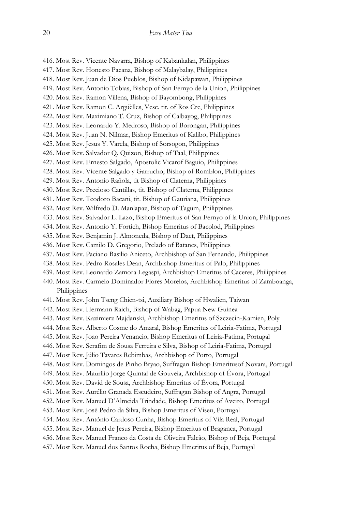416. Most Rev. Vicente Navarra, Bishop of Kabankalan, Philippines 417. Most Rev. Honesto Pacana, Bishop of Malaybalay, Philippines 418. Most Rev. Juan de Dios Pueblos, Bishop of Kidapawan, Philippines 419. Most Rev. Antonio Tobias, Bishop of San Fernyo de la Union, Philippines 420. Most Rev. Ramon Villena, Bishop of Bayombong, Philippines 421. Most Rev. Ramon C. Argüelles, Vesc. tit. of Ros Cre, Philippines 422. Most Rev. Maximiano T. Cruz, Bishop of Calbayog, Philippines 423. Most Rev. Leonardo Y. Medroso, Bishop of Borongan, Philippines 424. Most Rev. Juan N. Nilmar, Bishop Emeritus of Kalibo, Philippines 425. Most Rev. Jesus Y. Varela, Bishop of Sorsogon, Philippines 426. Most Rev. Salvador Q. Quizon, Bishop of Taal, Philippines 427. Most Rev. Ernesto Salgado, Apostolic Vicarof Baguio, Philippines 428. Most Rev. Vicente Salgado y Garrucho, Bishop of Romblon, Philippines 429. Most Rev. Antonio Rañola, tit Bishop of Claterna, Philippines 430. Most Rev. Precioso Cantillas, tit. Bishop of Claterna, Philippines 431. Most Rev. Teodoro Bacani, tit. Bishop of Gauriana, Philippines 432. Most Rev. Wilfredo D. Manlapaz, Bishop of Tagum, Philippines 433. Most Rev. Salvador L. Lazo, Bishop Emeritus of San Fernyo of la Union, Philippines 434. Most Rev. Antonio Y. Fortich, Bishop Emeritus of Bacolod, Philippines 435. Most Rev. Benjamin J. Almoneda, Bishop of Daet, Philippines 436. Most Rev. Camilo D. Gregorio, Prelado of Batanes, Philippines 437. Most Rev. Paciano Basilio Aniceto, Archbishop of San Fernando, Philippines 438. Most Rev. Pedro Rosales Dean, Archbishop Emeritus of Palo, Philippines 439. Most Rev. Leonardo Zamora Legaspi, Archbishop Emeritus of Caceres, Philippines 440. Most Rev. Carmelo Dominador Flores Morelos, Archbishop Emeritus of Zamboanga, Philippines 441. Most Rev. John Tseng Chien-tsi, Auxiliary Bishop of Hwalien, Taiwan 442. Most Rev. Hermann Raich, Bishop of Wabag, Papua New Guinea 443. Most Rev. Kazimierz Majdanski, Archbishop Emeritus of Szczecin-Kamien, Poly 444. Most Rev. Alberto Cosme do Amaral, Bishop Emeritus of Leiria-Fatima, Portugal 445. Most Rev. Joao Pereira Venancio, Bishop Emeritus of Leiria-Fatima, Portugal 446. Most Rev. Serafim de Sousa Ferreira e Silva, Bishop of Leiria-Fatima, Portugal 447. Most Rev. Júlio Tavares Rebimbas, Archbishop of Porto, Portugal 448. Most Rev. Domingos de Pinho Bryao, Suffragan Bishop Emeritusof Novara, Portugal 449. Most Rev. Maurílio Jorge Quintal de Gouveia, Archbishop of Évora, Portugal 450. Most Rev. David de Sousa, Archbishop Emeritus of Évora, Portugal 451. Most Rev. Aurélio Granada Escudeiro, Suffragan Bishop of Angra, Portugal 452. Most Rev. Manuel D'Almeida Trindade, Bishop Emeritus of Aveiro, Portugal 453. Most Rev. José Pedro da Silva, Bishop Emeritus of Viseu, Portugal 454. Most Rev. António Cardoso Cunha, Bishop Emeritus of Vila Real, Portugal 455. Most Rev. Manuel de Jesus Pereira, Bishop Emeritus of Braganca, Portugal 456. Most Rev. Manuel Franco da Costa de Oliveira Falcão, Bishop of Beja, Portugal 457. Most Rev. Manuel dos Santos Rocha, Bishop Emeritus of Beja, Portugal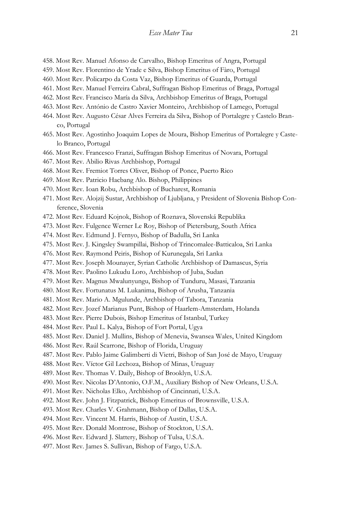- 458. Most Rev. Manuel Afonso de Carvalho, Bishop Emeritus of Angra, Portugal
- 459. Most Rev. Florentino de Yrade e Silva, Bishop Emeritus of Fàro, Portugal
- 460. Most Rev. Policarpo da Costa Vaz, Bishop Emeritus of Guarda, Portugal
- 461. Most Rev. Manuel Ferreira Cabral, Suffragan Bishop Emeritus of Braga, Portugal
- 462. Most Rev. Francisco María da Silva, Archbishop Emeritus of Braga, Portugal
- 463. Most Rev. António de Castro Xavier Monteiro, Archbishop of Lamego, Portugal
- 464. Most Rev. Augusto César Alves Ferreira da Silva, Bishop of Portalegre y Castelo Branco, Portugal
- 465. Most Rev. Agostinho Joaquim Lopes de Moura, Bishop Emeritus of Portalegre y Castelo Branco, Portugal
- 466. Most Rev. Francesco Franzi, Suffragan Bishop Emeritus of Novara, Portugal
- 467. Most Rev. Abilio Rivas Archbishop, Portugal
- 468. Most Rev. Fremiot Torres Oliver, Bishop of Ponce, Puerto Rico
- 469. Most Rev. Patricio Hacbang Alo. Bishop, Philippines
- 470. Most Rev. Ioan Robu, Archbishop of Bucharest, Romania
- 471. Most Rev. Alojzij Sustar, Archbishop of Ljubljana, y President of Slovenia Bishop Conference, Slovenia
- 472. Most Rev. Eduard Kojnok, Bishop of Roznava, Slovenská Republika
- 473. Most Rev. Fulgence Werner Le Roy, Bishop of Pietersburg, South Africa
- 474. Most Rev. Edmund J. Fernyo, Bishop of Badulla, Sri Lanka
- 475. Most Rev. J. Kingsley Swampillai, Bishop of Trincomalee-Batticaloa, Sri Lanka
- 476. Most Rev. Raymond Peiris, Bishop of Kurunegala, Sri Lanka
- 477. Most Rev. Joseph Mounayer, Syrian Catholic Archbishop of Damascus, Syria
- 478. Most Rev. Paolino Lukudu Loro, Archbishop of Juba, Sudan
- 479. Most Rev. Magnus Mwalunyungu, Bishop of Tunduru, Masasi, Tanzania
- 480. Most Rev. Fortunatus M. Lukanima, Bishop of Arusha, Tanzania
- 481. Most Rev. Mario A. Mgulunde, Archbishop of Tabora, Tanzania
- 482. Most Rev. Jozef Marianus Punt, Bishop of Haarlem-Amsterdam, Holanda
- 483. Most Rev. Pierre Dubois, Bishop Emeritus of Istanbul, Turkey
- 484. Most Rev. Paul L. Kalya, Bishop of Fort Portal, Ugya
- 485. Most Rev. Daniel J. Mullins, Bishop of Menevia, Swansea Wales, United Kingdom
- 486. Most Rev. Raúl Scarrone, Bishop of Florida, Uruguay
- 487. Most Rev. Pablo Jaime Galimberti di Vietri, Bishop of San José de Mayo, Uruguay
- 488. Most Rev. Víctor Gil Lechoza, Bishop of Minas, Uruguay
- 489. Most Rev. Thomas V. Daily, Bishop of Brooklyn, U.S.A.
- 490. Most Rev. Nicolas D'Antonio, O.F.M., Auxiliary Bishop of New Orleans, U.S.A.
- 491. Most Rev. Nicholas Elko, Archbishop of Cincinnati, U.S.A.
- 492. Most Rev. John J. Fitzpatrick, Bishop Emeritus of Brownsville, U.S.A.
- 493. Most Rev. Charles V. Grahmann, Bishop of Dallas, U.S.A.
- 494. Most Rev. Vincent M. Harris, Bishop of Austin, U.S.A.
- 495. Most Rev. Donald Montrose, Bishop of Stockton, U.S.A.
- 496. Most Rev. Edward J. Slattery, Bishop of Tulsa, U.S.A.
- 497. Most Rev. James S. Sullivan, Bishop of Fargo, U.S.A.